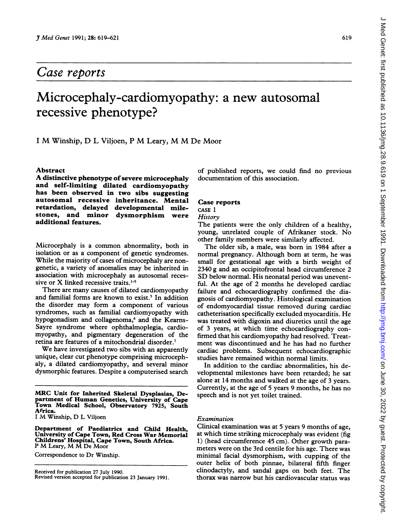## Case reports

# Microcephaly-cardiomyopathy: a new autosomal recessive phenotype?

<sup>I</sup> M Winship, D <sup>L</sup> Viljoen, <sup>P</sup> M Leary, M M De Moor

#### Abstract

A distinctive phenotype of severe microcephaly and self-limiting dilated cardiomyopathy has been observed in two sibs suggesting autosomal recessive inheritance. Mental retardation, delayed developmental milestones, and minor dysmorphism were additional features.

Microcephaly is <sup>a</sup> common abnormality, both in isolation or as a component of genetic syndromes. While the majority of cases of microcephaly are nongenetic, a variety of anomalies may be inherited in association with microcephaly as autosomal recessive or X linked recessive traits.<sup>1-5</sup>

There are many causes of dilated cardiomyopathy and familial forms are known to exist.<sup>5</sup> In addition the disorder may form a component of various syndromes, such as familial cardiomyopathy with hypogonadism and collagenoma,<sup>6</sup> and the Kearns-Sayre syndrome where ophthalmoplegia, cardiomyopathy, and pigmentary degeneration of the retina are features of a mitochondrial disorder.7

We have investigated two sibs with an apparently unique, clear cut phenotype comprising microcephaly, a dilated cardiomyopathy, and several minor dysmorphic features. Despite a computerised search

MRC Unit for Inherited Skeletal Dysplasias, Department of Human Genetics, University of Cape Town Medical School, Observatory 7925, South Africa.

I M Winship, D L Viljoen

Department of Paediatrics and Child Health, University of Cape Town, Red Cross War Memorial Childrens' Hospital, Cape Town, South Africa. <sup>P</sup> M Leary, M M De Moor

Correspondence to Dr Winship.

Received for publication 27 July 1990. Revised version accepted for publication 23 January 1991. of published reports, we could find no previous documentation of this association.

#### Case reports

CASE <sup>1</sup>

**History** 

The patients were the only children of <sup>a</sup> healthy, young, unrelated couple of Afrikaner stock. No other family members were similarly affected.

The older sib, <sup>a</sup> male, was born in 1984 after <sup>a</sup> normal pregnancy. Although born at term, he was small for gestational age with a birth weight of 2340 g and an occipitofrontal head circumference 2 SD below normal. His neonatal period was uneventful. At the age of 2 months he developed cardiac failure and echocardiography confirmed the diagnosis of cardiomyopathy. Histological examination of endomyocardial tissue removed during cardiac catheterisation specifically excluded myocarditis. He was treated with digoxin and diuretics until the age of 3 years, at which time echocardiography confirmed that his cardiomyopathy had resolved. Treatment was discontinued and he has had no further cardiac problems. Subsequent echocardiographic studies have remained within normal limits.

In addition to the cardiac abnormalities, his developmental milestones have been retarded; he sat alone at 14 months and walked at the age of 3 years. Currently, at the age of 5 years 9 months, he has no speech and is not yet toilet trained.

### Examination

Clinical examination was at 5 years 9 months of age, at which time striking microcephaly was evident (fig 1) (head circumference 45 cm). Other growth parameters were on the 3rd centile for his age. There was minimal facial dysmorphism, with cupping of the outer helix of both pinnae, bilateral fifth finger clinodactyly, and sandal gaps on both feet. The thorax was narrow but his cardiovascular status was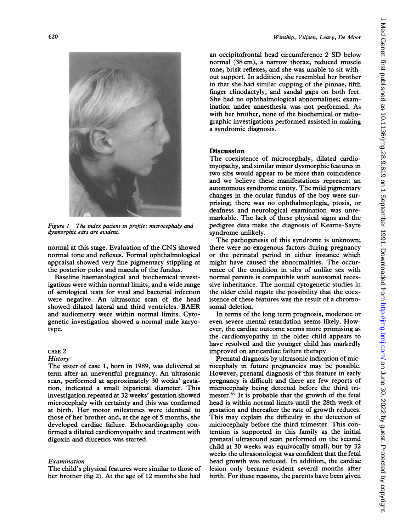

Figure <sup>1</sup> The index patient in profile: microcephaly and dysmorphic ears are evident.

normal at this stage. Evaluation of the CNS showed normal tone and reflexes. Formal ophthalmological appraisal showed very fine pigmentary stippling at the posterior poles and macula of the fundus.

Baseline haematological and biochemical investigations were within normal limits, and a wide range of serological tests for viral and bacterial infection were negative. An ultrasonic scan of the head showed dilated lateral and third ventricles. BAER and audiometry were within normal limits. Cytogenetic investigation showed a normal male karyotype.

#### CASE 2 **History**

The sister of case 1, born in 1989, was delivered at term after an uneventful pregnancy. An ultrasonic scan, performed at approximately 30 weeks' gestation, indicated a small biparietal diameter. This investigation repeated at 32 weeks' gestation showed microcephaly with certainty and this was confirmed at birth. Her motor milestones were identical to those of her brother and, at the age of 5 months, she developed cardiac failure. Echocardiography confirmed a dilated cardiomyopathy and treatment with digoxin and diuretics was started.

#### Examination

The child's physical features were similar to those of her brother (fig 2). At the age of 12 months she had

an occipitofrontal head circumference <sup>2</sup> SD below normal (38 cm), a narrow thorax, reduced muscle tone, brisk reflexes, and she was unable to sit without support. In addition, she resembled her brother in that she had similar cupping of the pinnae, fifth finger clinodactyly, and sandal gaps on both feet. She had no ophthalmological abnormalities; examination under anaesthesia was not performed. As with her brother, none of the biochemical or radiographic investigations performed assisted in making a syndromic diagnosis.

#### Discussion

The coexistence of microcephaly, dilated cardiomyopathy, and similar minor dysmorphic features in two sibs would appear to be more than coincidence and we believe these manifestations represent an autonomous syndromic entity. The mild pigmentary changes in the ocular fundus of the boy were surprising; there was no ophthalmoplegia, ptosis, or deafness and neurological examination was unremarkable. The lack of these physical signs and the pedigree data make the diagnosis of Kearns-Sayre syndrome unlikely.

The pathogenesis of this syndrome is unknown; there were no exogenous factors during pregnancy or the perinatal period in either instance which might have caused the abnormalities. The occurrence of the condition in sibs of unlike sex with normal parents is compatible with autosomal recessive inheritance. The normal cytogenetic studies in the older child negate the possibility that the coexistence of these features was the result of a chromosomal deletion.

In terms of the long term prognosis, moderate or even severe mental retardation seems likely. However, the cardiac outcome seems more promising as the cardiomyopathy in the older child appears to have resolved and the younger child has markedly improved on anticardiac failure therapy.

Prenatal diagnosis by ultrasonic indication of microcephaly in future pregnancies may be possible. However, prenatal diagnosis of this feature in early pregnancy is difficult and there are few reports of microcephaly being detected before the third trimester.89 It is probable that the growth of the fetal head is within normal limits until the 28th week of gestation and thereafter the rate of growth reduces. This may explain the difficulty in the detection of microcephaly before the third trimester. This contention is supported in this family as the initial prenatal ultrasound scan performed on the second child at 30 weeks was equivocally small, but by 32 weeks the ultrasonologist was confident that the fetal head growth was reduced. In addition, the cardiac lesion only became evident several months after birth. For these reasons, the parents have been given